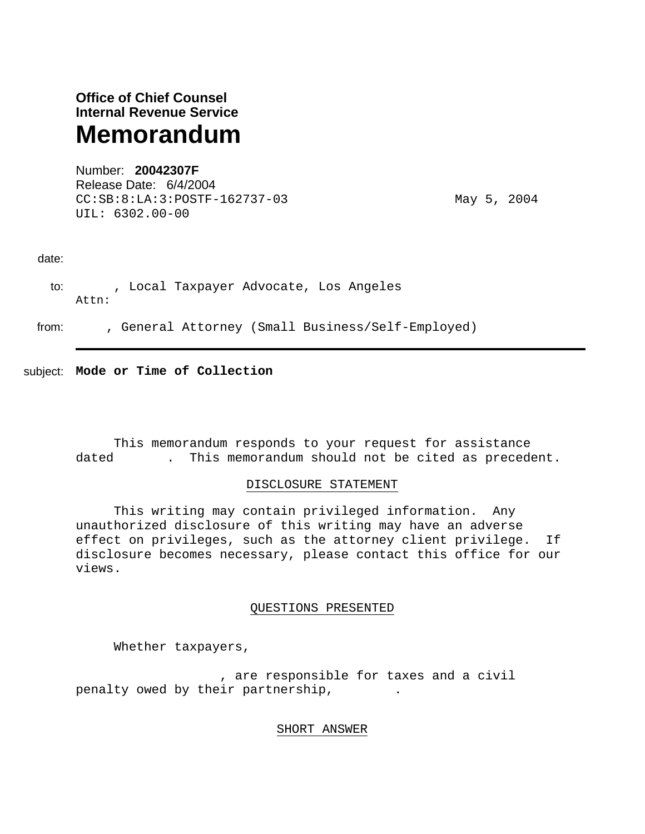# **Office of Chief Counsel Internal Revenue Service Memorandum**

Number: **20042307F**  Release Date: 6/4/2004 CC:SB:8:LA:3:POSTF-162737-03 May 5, 2004 UIL: 6302.00-00

# date:

to: , Local Taxpayer Advocate, Los Angeles Attn:

from: , General Attorney (Small Business/Self-Employed)

subject: **Mode or Time of Collection** 

 This memorandum responds to your request for assistance dated -----. This memorandum should not be cited as precedent.

# DISCLOSURE STATEMENT

 This writing may contain privileged information. Any unauthorized disclosure of this writing may have an adverse effect on privileges, such as the attorney client privilege. If disclosure becomes necessary, please contact this office for our views.

# QUESTIONS PRESENTED

Whether taxpayers,

, are responsible for taxes and a civil penalty owed by their partnership,

# SHORT ANSWER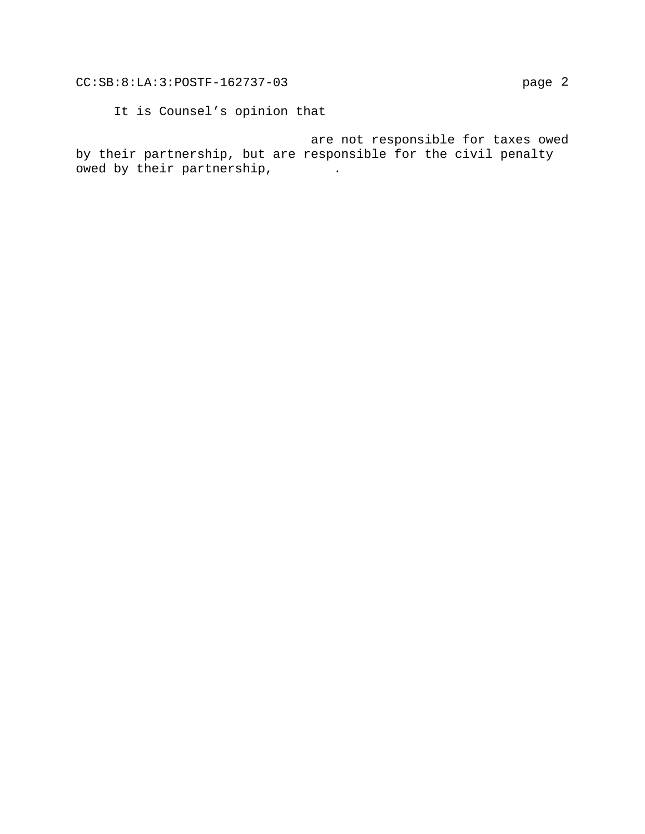It is Counsel's opinion that

are not responsible for taxes owed by their partnership, but are responsible for the civil penalty owed by their partnership,  $\cdots$ .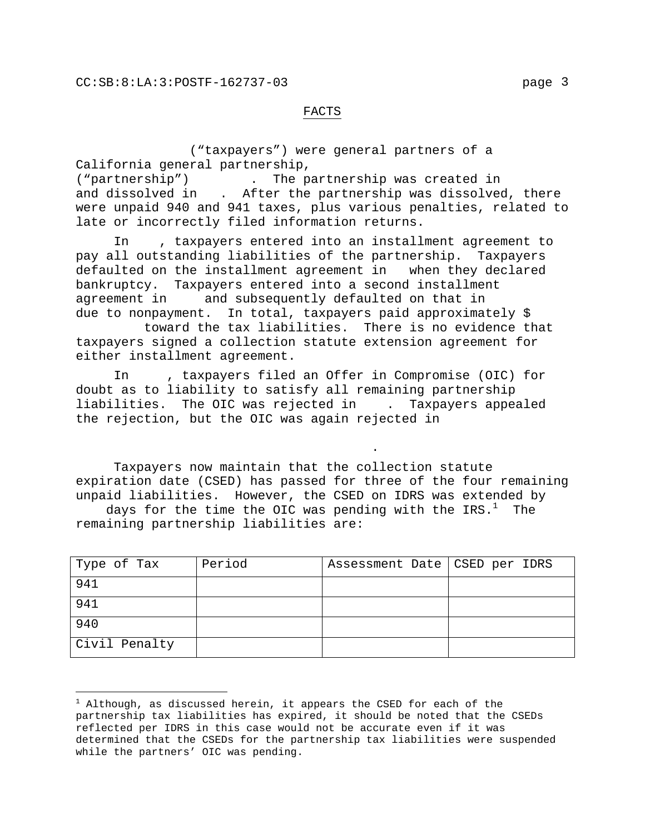## FACTS

("taxpayers") were general partners of a California general partnership, ("partnership") -------. The partnership was created in ----- and dissolved in . After the partnership was dissolved, there were unpaid 940 and 941 taxes, plus various penalties, related to late or incorrectly filed information returns.

In ---, taxpayers entered into an installment agreement to pay all outstanding liabilities of the partnership. Taxpayers defaulted on the installment agreement in - when they declared bankruptcy. Taxpayers entered into a second installment agreement in ----and subsequently defaulted on that in ------- due to nonpayment. In total, taxpayers paid approximately  $$$ 

toward the tax liabilities. There is no evidence that taxpayers signed a collection statute extension agreement for either installment agreement.

In , taxpayers filed an Offer in Compromise (OIC) for doubt as to liability to satisfy all remaining partnership liabilities. The OIC was rejected in ---. Taxpayers appealed the rejection, but the OIC was again rejected in

---------------------------------------.

i

Taxpayers now maintain that the collection statute expiration date (CSED) has passed for three of the four remaining unpaid liabilities. However, the CSED on IDRS was extended by

days for the time the OIC was pending with the IRS. $^1$  The remaining partnership liabilities are:

| Type of Tax   | Period | Assessment Date   CSED per IDRS |  |
|---------------|--------|---------------------------------|--|
| 941           |        |                                 |  |
| 941           |        |                                 |  |
| 940           |        |                                 |  |
| Civil Penalty |        |                                 |  |

 $^1$  Although, as discussed herein, it appears the CSED for each of the partnership tax liabilities has expired, it should be noted that the CSEDs reflected per IDRS in this case would not be accurate even if it was determined that the CSEDs for the partnership tax liabilities were suspended while the partners' OIC was pending.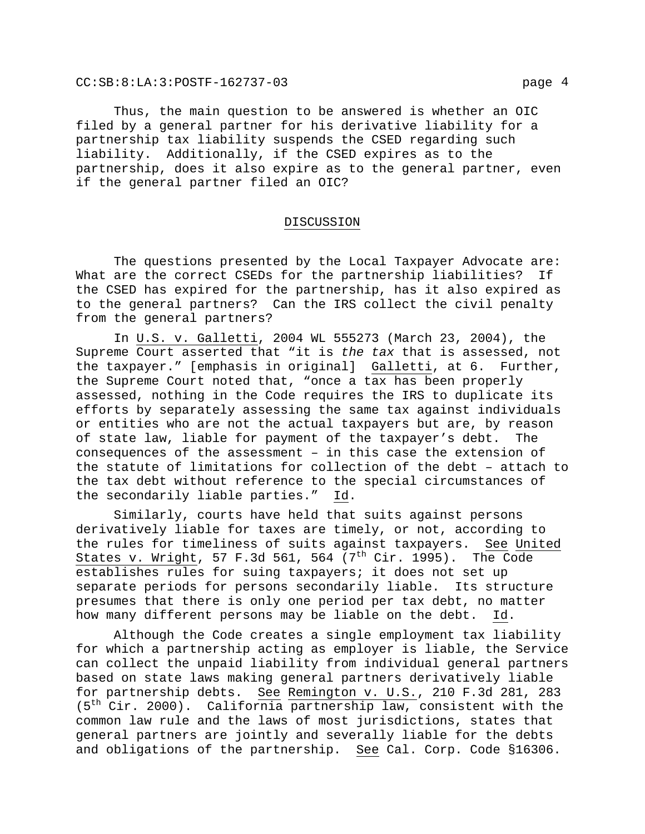CC:SB:8:LA:3:POSTF-162737-03 page 4

Thus, the main question to be answered is whether an OIC filed by a general partner for his derivative liability for a partnership tax liability suspends the CSED regarding such liability. Additionally, if the CSED expires as to the partnership, does it also expire as to the general partner, even if the general partner filed an OIC?

## DISCUSSION

 The questions presented by the Local Taxpayer Advocate are: What are the correct CSEDs for the partnership liabilities? If the CSED has expired for the partnership, has it also expired as to the general partners? Can the IRS collect the civil penalty from the general partners?

 In U.S. v. Galletti, 2004 WL 555273 (March 23, 2004), the Supreme Court asserted that "it is *the tax* that is assessed, not the taxpayer." [emphasis in original] Galletti, at 6. Further, the Supreme Court noted that, "once a tax has been properly assessed, nothing in the Code requires the IRS to duplicate its efforts by separately assessing the same tax against individuals or entities who are not the actual taxpayers but are, by reason of state law, liable for payment of the taxpayer's debt. The consequences of the assessment – in this case the extension of the statute of limitations for collection of the debt – attach to the tax debt without reference to the special circumstances of the secondarily liable parties." Id.

 Similarly, courts have held that suits against persons derivatively liable for taxes are timely, or not, according to the rules for timeliness of suits against taxpayers. See United States v. Wright, 57 F.3d 561, 564 (7<sup>th</sup> Cir. 1995). The Code establishes rules for suing taxpayers; it does not set up separate periods for persons secondarily liable. Its structure presumes that there is only one period per tax debt, no matter how many different persons may be liable on the debt. Id.

 Although the Code creates a single employment tax liability for which a partnership acting as employer is liable, the Service can collect the unpaid liability from individual general partners based on state laws making general partners derivatively liable for partnership debts. See Remington v. U.S., 210 F.3d 281, 283 (5th Cir. 2000). California partnership law, consistent with the common law rule and the laws of most jurisdictions, states that general partners are jointly and severally liable for the debts and obligations of the partnership. See Cal. Corp. Code §16306.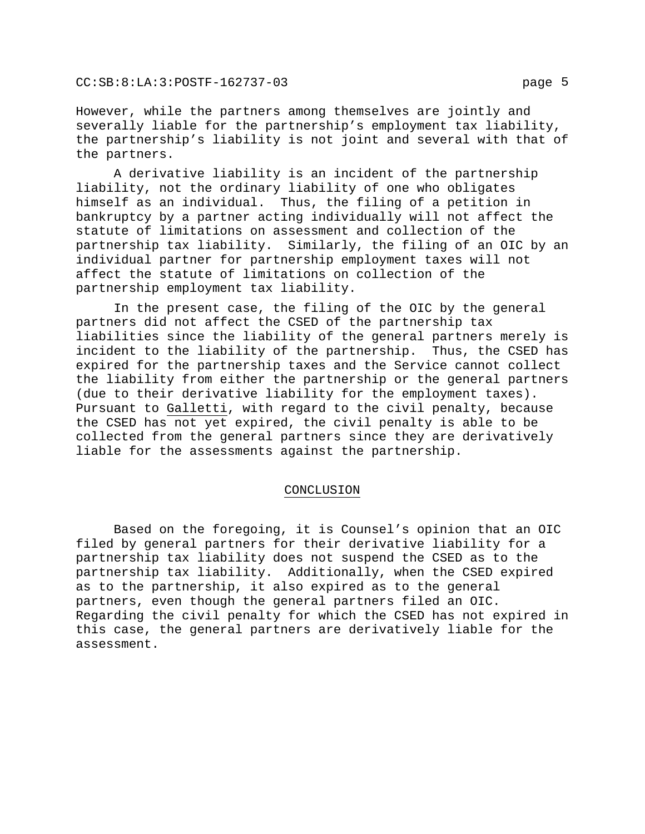However, while the partners among themselves are jointly and severally liable for the partnership's employment tax liability, the partnership's liability is not joint and several with that of the partners.

 A derivative liability is an incident of the partnership liability, not the ordinary liability of one who obligates himself as an individual. Thus, the filing of a petition in bankruptcy by a partner acting individually will not affect the statute of limitations on assessment and collection of the partnership tax liability. Similarly, the filing of an OIC by an individual partner for partnership employment taxes will not affect the statute of limitations on collection of the partnership employment tax liability.

 In the present case, the filing of the OIC by the general partners did not affect the CSED of the partnership tax liabilities since the liability of the general partners merely is incident to the liability of the partnership. Thus, the CSED has expired for the partnership taxes and the Service cannot collect the liability from either the partnership or the general partners (due to their derivative liability for the employment taxes). Pursuant to Galletti, with regard to the civil penalty, because the CSED has not yet expired, the civil penalty is able to be collected from the general partners since they are derivatively liable for the assessments against the partnership.

### CONCLUSION

 Based on the foregoing, it is Counsel's opinion that an OIC filed by general partners for their derivative liability for a partnership tax liability does not suspend the CSED as to the partnership tax liability. Additionally, when the CSED expired as to the partnership, it also expired as to the general partners, even though the general partners filed an OIC. Regarding the civil penalty for which the CSED has not expired in this case, the general partners are derivatively liable for the assessment.